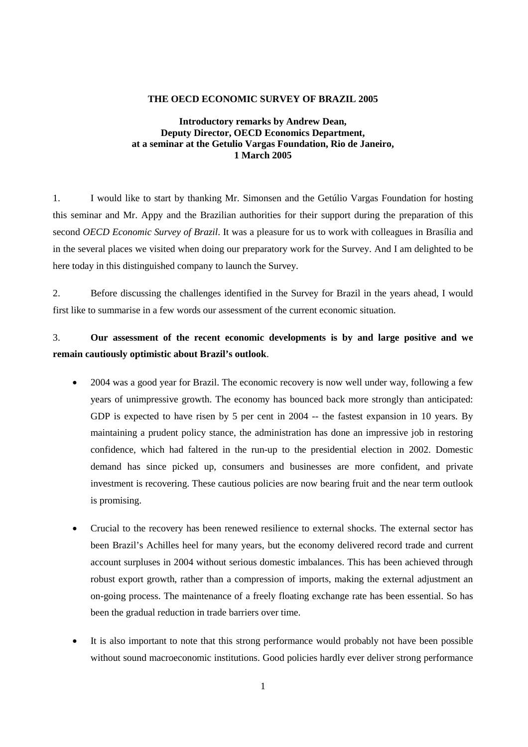## **THE OECD ECONOMIC SURVEY OF BRAZIL 2005**

## **Introductory remarks by Andrew Dean, Deputy Director, OECD Economics Department, at a seminar at the Getulio Vargas Foundation, Rio de Janeiro, 1 March 2005**

1. I would like to start by thanking Mr. Simonsen and the Getúlio Vargas Foundation for hosting this seminar and Mr. Appy and the Brazilian authorities for their support during the preparation of this second *OECD Economic Survey of Brazil*. It was a pleasure for us to work with colleagues in Brasília and in the several places we visited when doing our preparatory work for the Survey. And I am delighted to be here today in this distinguished company to launch the Survey.

2. Before discussing the challenges identified in the Survey for Brazil in the years ahead, I would first like to summarise in a few words our assessment of the current economic situation.

## 3. **Our assessment of the recent economic developments is by and large positive and we remain cautiously optimistic about Brazil's outlook**.

- 2004 was a good year for Brazil. The economic recovery is now well under way, following a few years of unimpressive growth. The economy has bounced back more strongly than anticipated: GDP is expected to have risen by 5 per cent in 2004 -- the fastest expansion in 10 years. By maintaining a prudent policy stance, the administration has done an impressive job in restoring confidence, which had faltered in the run-up to the presidential election in 2002. Domestic demand has since picked up, consumers and businesses are more confident, and private investment is recovering. These cautious policies are now bearing fruit and the near term outlook is promising.
- Crucial to the recovery has been renewed resilience to external shocks. The external sector has been Brazil's Achilles heel for many years, but the economy delivered record trade and current account surpluses in 2004 without serious domestic imbalances. This has been achieved through robust export growth, rather than a compression of imports, making the external adjustment an on-going process. The maintenance of a freely floating exchange rate has been essential. So has been the gradual reduction in trade barriers over time.
- It is also important to note that this strong performance would probably not have been possible without sound macroeconomic institutions. Good policies hardly ever deliver strong performance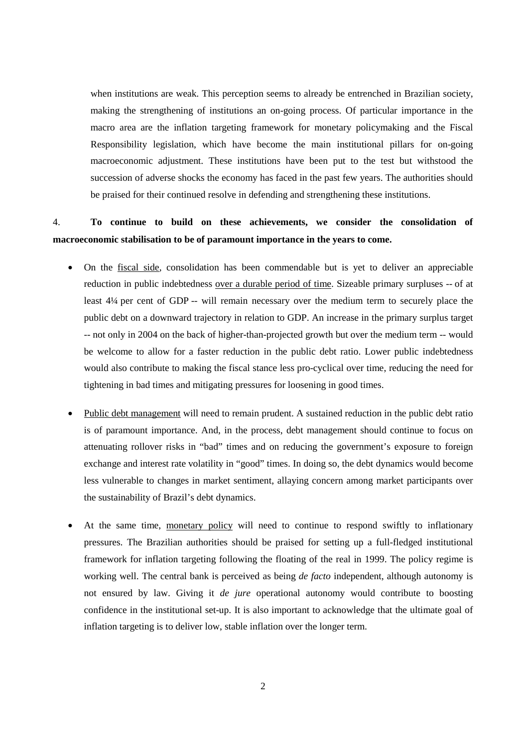when institutions are weak. This perception seems to already be entrenched in Brazilian society, making the strengthening of institutions an on-going process. Of particular importance in the macro area are the inflation targeting framework for monetary policymaking and the Fiscal Responsibility legislation, which have become the main institutional pillars for on-going macroeconomic adjustment. These institutions have been put to the test but withstood the succession of adverse shocks the economy has faced in the past few years. The authorities should be praised for their continued resolve in defending and strengthening these institutions.

## 4. **To continue to build on these achievements, we consider the consolidation of macroeconomic stabilisation to be of paramount importance in the years to come.**

- On the fiscal side, consolidation has been commendable but is yet to deliver an appreciable reduction in public indebtedness over a durable period of time. Sizeable primary surpluses -- of at least 4¼ per cent of GDP -- will remain necessary over the medium term to securely place the public debt on a downward trajectory in relation to GDP. An increase in the primary surplus target -- not only in 2004 on the back of higher-than-projected growth but over the medium term -- would be welcome to allow for a faster reduction in the public debt ratio. Lower public indebtedness would also contribute to making the fiscal stance less pro-cyclical over time, reducing the need for tightening in bad times and mitigating pressures for loosening in good times.
- Public debt management will need to remain prudent. A sustained reduction in the public debt ratio is of paramount importance. And, in the process, debt management should continue to focus on attenuating rollover risks in "bad" times and on reducing the government's exposure to foreign exchange and interest rate volatility in "good" times. In doing so, the debt dynamics would become less vulnerable to changes in market sentiment, allaying concern among market participants over the sustainability of Brazil's debt dynamics.
- At the same time, monetary policy will need to continue to respond swiftly to inflationary pressures. The Brazilian authorities should be praised for setting up a full-fledged institutional framework for inflation targeting following the floating of the real in 1999. The policy regime is working well. The central bank is perceived as being *de facto* independent, although autonomy is not ensured by law. Giving it *de jure* operational autonomy would contribute to boosting confidence in the institutional set-up. It is also important to acknowledge that the ultimate goal of inflation targeting is to deliver low, stable inflation over the longer term.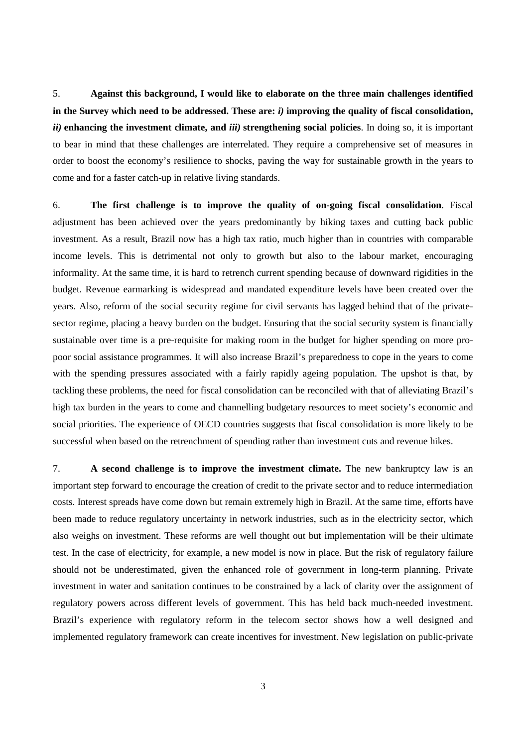5. **Against this background, I would like to elaborate on the three main challenges identified in the Survey which need to be addressed. These are:** *i)* **improving the quality of fiscal consolidation,**  *ii)* **enhancing the investment climate, and** *iii)* **strengthening social policies**. In doing so, it is important to bear in mind that these challenges are interrelated. They require a comprehensive set of measures in order to boost the economy's resilience to shocks, paving the way for sustainable growth in the years to come and for a faster catch-up in relative living standards.

6. **The first challenge is to improve the quality of on-going fiscal consolidation**. Fiscal adjustment has been achieved over the years predominantly by hiking taxes and cutting back public investment. As a result, Brazil now has a high tax ratio, much higher than in countries with comparable income levels. This is detrimental not only to growth but also to the labour market, encouraging informality. At the same time, it is hard to retrench current spending because of downward rigidities in the budget. Revenue earmarking is widespread and mandated expenditure levels have been created over the years. Also, reform of the social security regime for civil servants has lagged behind that of the privatesector regime, placing a heavy burden on the budget. Ensuring that the social security system is financially sustainable over time is a pre-requisite for making room in the budget for higher spending on more propoor social assistance programmes. It will also increase Brazil's preparedness to cope in the years to come with the spending pressures associated with a fairly rapidly ageing population. The upshot is that, by tackling these problems, the need for fiscal consolidation can be reconciled with that of alleviating Brazil's high tax burden in the years to come and channelling budgetary resources to meet society's economic and social priorities. The experience of OECD countries suggests that fiscal consolidation is more likely to be successful when based on the retrenchment of spending rather than investment cuts and revenue hikes.

7. **A second challenge is to improve the investment climate.** The new bankruptcy law is an important step forward to encourage the creation of credit to the private sector and to reduce intermediation costs. Interest spreads have come down but remain extremely high in Brazil. At the same time, efforts have been made to reduce regulatory uncertainty in network industries, such as in the electricity sector, which also weighs on investment. These reforms are well thought out but implementation will be their ultimate test. In the case of electricity, for example, a new model is now in place. But the risk of regulatory failure should not be underestimated, given the enhanced role of government in long-term planning. Private investment in water and sanitation continues to be constrained by a lack of clarity over the assignment of regulatory powers across different levels of government. This has held back much-needed investment. Brazil's experience with regulatory reform in the telecom sector shows how a well designed and implemented regulatory framework can create incentives for investment. New legislation on public-private